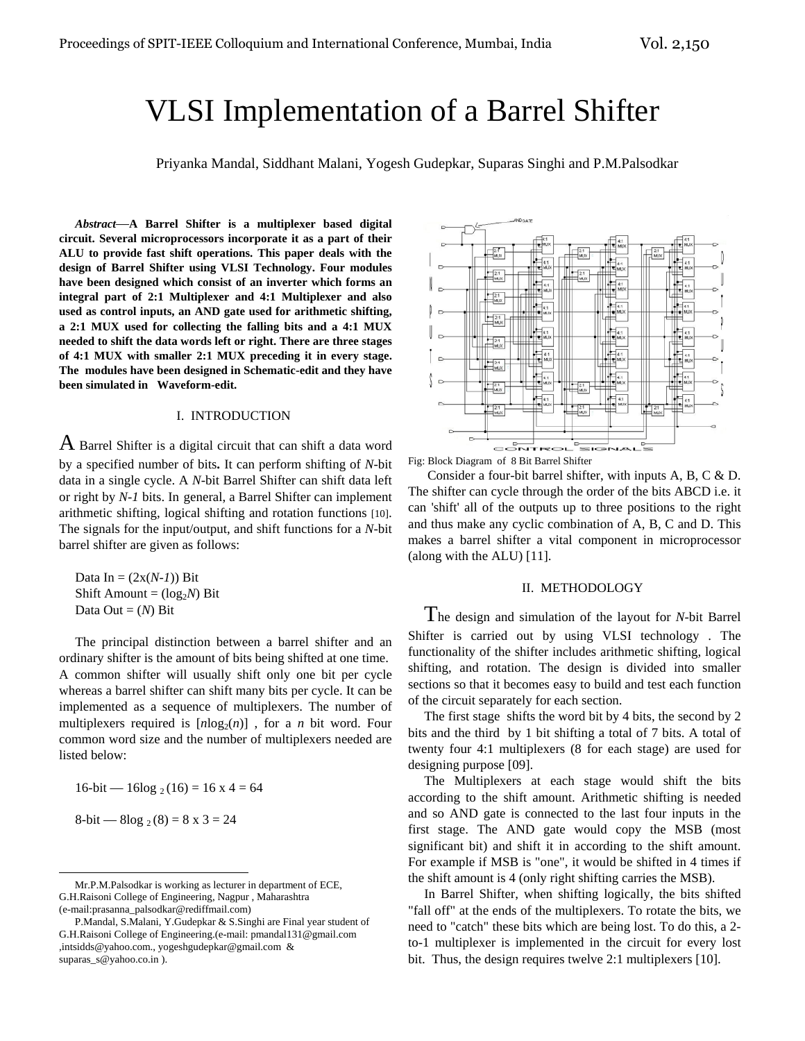# VLSI Implementation of a Barrel Shifter

Priyanka Mandal, Siddhant Malani, Yogesh Gudepkar, Suparas Singhi and P.M.Palsodkar

*Abstract*—**A Barrel Shifter is a multiplexer based digital circuit. Several microprocessors incorporate it as a part of their ALU to provide fast shift operations. This paper deals with the design of Barrel Shifter using VLSI Technology. Four modules have been designed which consist of an inverter which forms an integral part of 2:1 Multiplexer and 4:1 Multiplexer and also used as control inputs, an AND gate used for arithmetic shifting, a 2:1 MUX used for collecting the falling bits and a 4:1 MUX needed to shift the data words left or right. There are three stages of 4:1 MUX with smaller 2:1 MUX preceding it in every stage. The modules have been designed in Schematic-edit and they have been simulated in Waveform-edit.** 

## I. INTRODUCTION

 $A$  Barrel Shifter is a digital circuit that can shift a data word by a specified number of bits**.** It can perform shifting of *N*-bit data in a single cycle. A *N*-bit Barrel Shifter can shift data left or right by *N-1* bits. In general, a Barrel Shifter can implement arithmetic shifting, logical shifting and rotation functions [10]. The signals for the input/output, and shift functions for a *N*-bit barrel shifter are given as follows:

Data In =  $(2x(N-1))$  Bit Shift Amount =  $(log_2N)$  Bit Data Out  $=(N)$  Bit

The principal distinction between a barrel shifter and an ordinary shifter is the amount of bits being shifted at one time. A common shifter will usually shift only one bit per cycle whereas a barrel shifter can shift many bits per cycle. It can be implemented as a sequence of multiplexers. The number of multiplexers required is  $[n\log_2(n)]$ , for a *n* bit word. Four common word size and the number of multiplexers needed are listed below:

 $16$ -bit —  $16\log_2(16) = 16 \times 4 = 64$ 

8-bit — 8log 
$$
2(8) = 8 \times 3 = 24
$$



Fig: Block Diagram of 8 Bit Barrel Shifter

 Consider a four-bit barrel shifter, with inputs A, B, C & D. The shifter can cycle through the order of the bits ABCD i.e. it can 'shift' all of the outputs up to three positions to the right and thus make any cyclic combination of A, B, C and D. This makes a barrel shifter a vital component in microprocessor (along with the ALU) [11].

#### II. METHODOLOGY

The design and simulation of the layout for *N*-bit Barrel Shifter is carried out by using VLSI technology . The functionality of the shifter includes arithmetic shifting, logical shifting, and rotation. The design is divided into smaller sections so that it becomes easy to build and test each function of the circuit separately for each section.

The first stage shifts the word bit by 4 bits, the second by 2 bits and the third by 1 bit shifting a total of 7 bits. A total of twenty four 4:1 multiplexers (8 for each stage) are used for designing purpose [09].

The Multiplexers at each stage would shift the bits according to the shift amount. Arithmetic shifting is needed and so AND gate is connected to the last four inputs in the first stage. The AND gate would copy the MSB (most significant bit) and shift it in according to the shift amount. For example if MSB is "one", it would be shifted in 4 times if the shift amount is 4 (only right shifting carries the MSB).

In Barrel Shifter, when shifting logically, the bits shifted "fall off" at the ends of the multiplexers. To rotate the bits, we need to "catch" these bits which are being lost. To do this, a 2 to-1 multiplexer is implemented in the circuit for every lost bit. Thus, the design requires twelve 2:1 multiplexers [10].

Mr.P.M.Palsodkar is working as lecturer in department of ECE, G.H.Raisoni College of Engineering, Nagpur , Maharashtra (e-mail:prasanna\_palsodkar@rediffmail.com)

P.Mandal, S.Malani, Y.Gudepkar & S.Singhi are Final year student of G.H.Raisoni College of Engineering.(e-mail: pmandal131@gmail.com ,intsidds@yahoo.com., yogeshgudepkar@gmail.com & suparas\_s@yahoo.co.in ).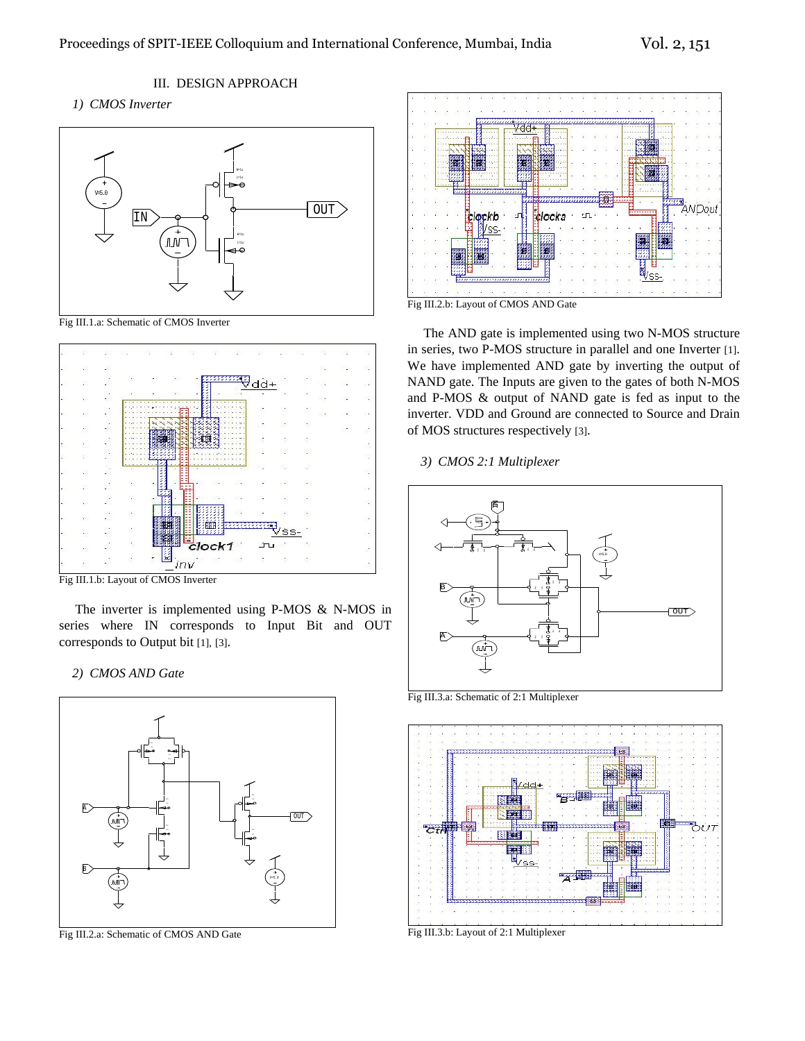III. DESIGN APPROACH

# *1) CMOS Inverter*



Fig III.1.a: Schematic of CMOS Inverter



Fig III.1.b: Layout of CMOS Inverter

The inverter is implemented using P-MOS & N-MOS in series where IN corresponds to Input Bit and OUT corresponds to Output bit [1], [3].

## *2) CMOS AND Gate*



Fig III.2.a: Schematic of CMOS AND Gate



Fig III.2.b: Layout of CMOS AND Gate

The AND gate is implemented using two N-MOS structure in series, two P-MOS structure in parallel and one Inverter [1]. We have implemented AND gate by inverting the output of NAND gate. The Inputs are given to the gates of both N-MOS and P-MOS & output of NAND gate is fed as input to the inverter. VDD and Ground are connected to Source and Drain of MOS structures respectively [3].

 *3) CMOS 2:1 Multiplexer* 



Fig III.3.a: Schematic of 2:1 Multiplexer



Fig III.3.b: Layout of 2:1 Multiplexer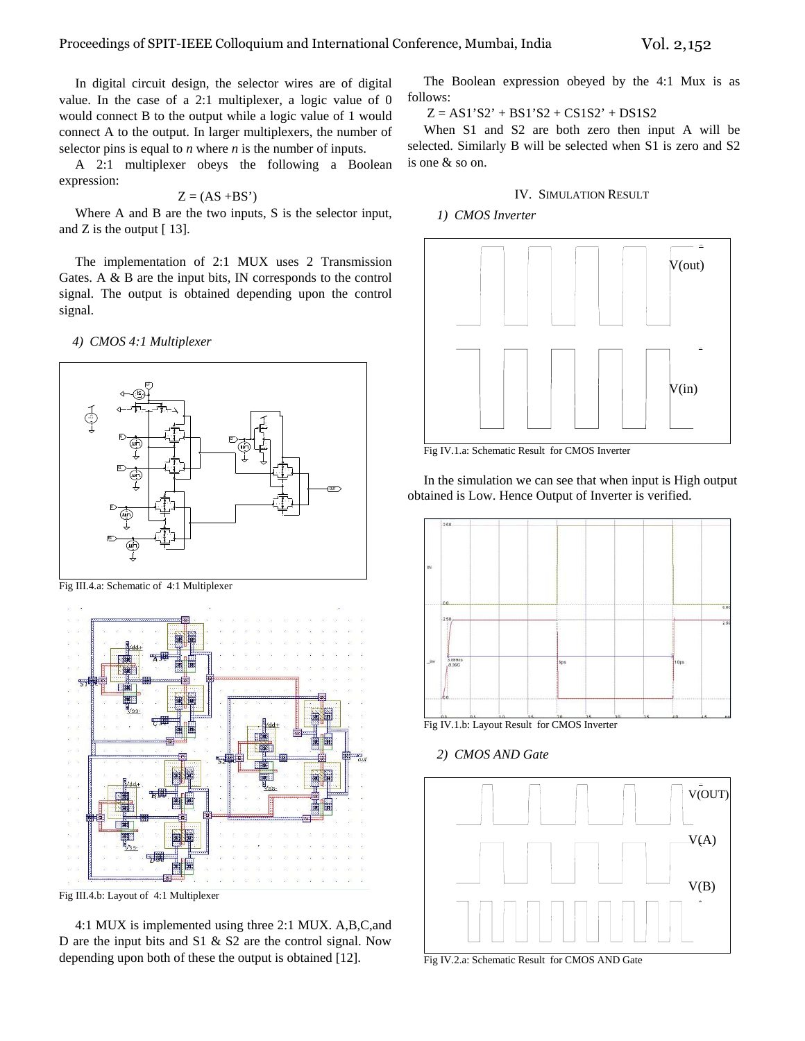In digital circuit design, the selector wires are of digital value. In the case of a 2:1 multiplexer, a logic value of 0 would connect B to the output while a logic value of 1 would connect A to the output. In larger multiplexers, the number of selector pins is equal to *n* where *n* is the number of inputs.

A 2:1 multiplexer obeys the following a Boolean expression:

## $Z = (AS + BS')$

Where A and B are the two inputs, S is the selector input, and Z is the output [ 13].

The implementation of 2:1 MUX uses 2 Transmission Gates. A & B are the input bits, IN corresponds to the control signal. The output is obtained depending upon the control signal.

 *4) CMOS 4:1 Multiplexer* 



Fig III.4.a: Schematic of 4:1 Multiplexer



Fig III.4.b: Layout of 4:1 Multiplexer

4:1 MUX is implemented using three 2:1 MUX. A,B,C,and D are the input bits and S1 & S2 are the control signal. Now depending upon both of these the output is obtained [12].

The Boolean expression obeyed by the 4:1 Mux is as follows:

 $Z = AS1'S2' + BS1'S2 + CS1S2' + DS1S2$ 

When S1 and S2 are both zero then input A will be selected. Similarly B will be selected when S1 is zero and S2 is one & so on.

## IV. SIMULATION RESULT

 *1) CMOS Inverter* 



Fig IV.1.a: Schematic Result for CMOS Inverter

In the simulation we can see that when input is High output obtained is Low. Hence Output of Inverter is verified.



Fig IV.1.b: Layout Result for CMOS Inverter

 *2) CMOS AND Gate* 



Fig IV.2.a: Schematic Result for CMOS AND Gate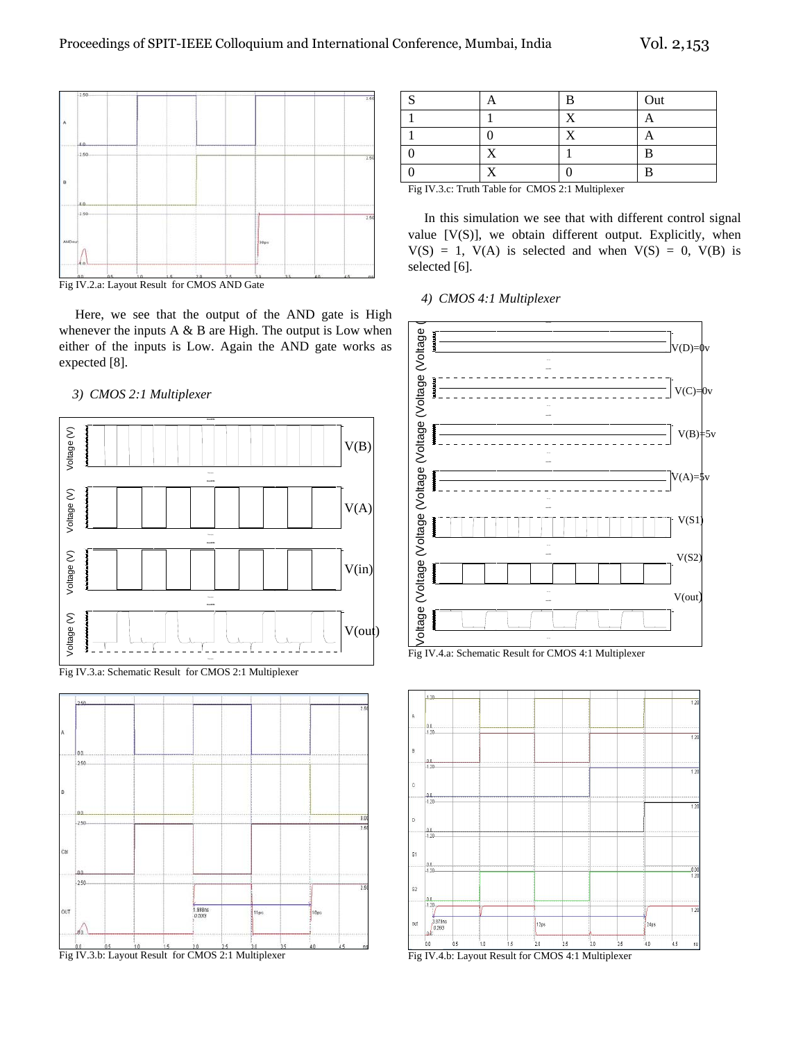



Here, we see that the output of the AND gate is High whenever the inputs A  $\&$  B are High. The output is Low when either of the inputs is Low. Again the AND gate works as expected [8].

## *3) CMOS 2:1 Multiplexer*







|                                                                                |  | Ħ | Out |  |  |  |
|--------------------------------------------------------------------------------|--|---|-----|--|--|--|
|                                                                                |  |   |     |  |  |  |
|                                                                                |  |   |     |  |  |  |
|                                                                                |  |   |     |  |  |  |
|                                                                                |  |   |     |  |  |  |
| $E^* = WI(2)$ as $T = H$ , $T = H$ , $f = 0$ , $GMOR(2)$ , $T = M$ , $H$ , $H$ |  |   |     |  |  |  |

Fig IV.3.c: Truth Table for CMOS 2:1 Multiplexer

In this simulation we see that with different control signal value [V(S)], we obtain different output. Explicitly, when  $V(S) = 1$ ,  $V(A)$  is selected and when  $V(S) = 0$ ,  $V(B)$  is selected [6].

#### *4) CMOS 4:1 Multiplexer*





Fig IV.4.b: Layout Result for CMOS 4:1 Multiplexer